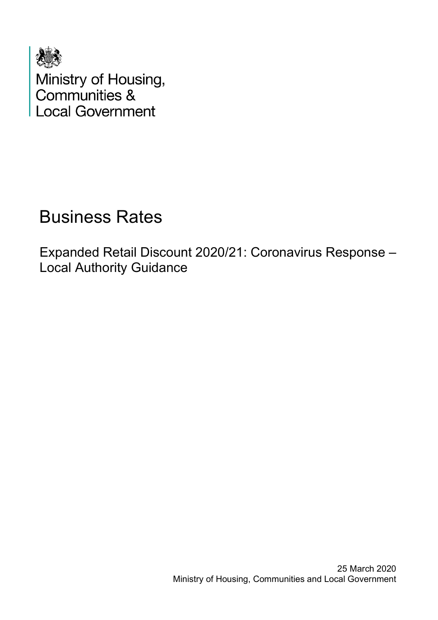

Ministry of Housing,<br>Communities & **Local Government** 

# Business Rates

Expanded Retail Discount 2020/21: Coronavirus Response – Local Authority Guidance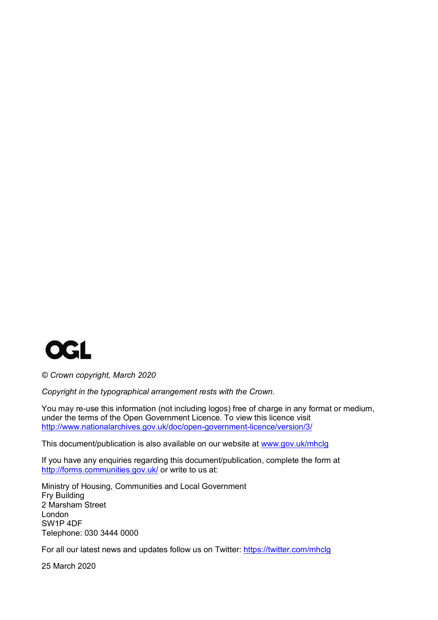

*© Crown copyright, March 2020*

*Copyright in the typographical arrangement rests with the Crown.*

You may re-use this information (not including logos) free of charge in any format or medium, under the terms of the Open Government Licence. To view this licence visit http://www.nationalarchives.gov.uk/doc/open-government-licence/version/3/

This document/publication is also available on our website at www.gov.uk/mhclg

If you have any enquiries regarding this document/publication, complete the form at http://forms.communities.gov.uk/ or write to us at:

Ministry of Housing, Communities and Local Government Fry Building 2 Marsham Street London SW1P 4DF Telephone: 030 3444 0000

For all our latest news and updates follow us on Twitter: https://twitter.com/mhclg

25 March 2020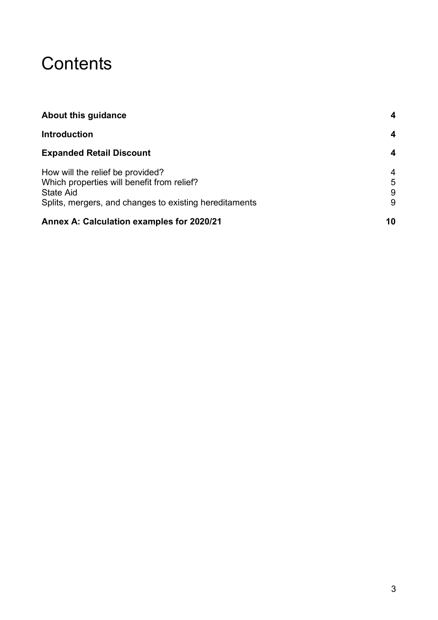# **Contents**

| About this guidance<br><b>Introduction</b>             | 4<br>4          |
|--------------------------------------------------------|-----------------|
|                                                        |                 |
| How will the relief be provided?                       | $\overline{4}$  |
| Which properties will benefit from relief?             | $5\phantom{.0}$ |
| State Aid                                              | 9               |
| Splits, mergers, and changes to existing hereditaments | 9               |
| Annex A: Calculation examples for 2020/21              | 10              |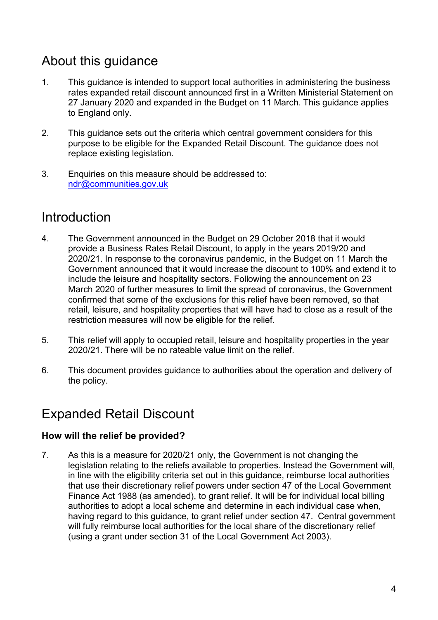# About this guidance

- 1. This guidance is intended to support local authorities in administering the business rates expanded retail discount announced first in a Written Ministerial Statement on 27 January 2020 and expanded in the Budget on 11 March. This guidance applies to England only.
- 2. This guidance sets out the criteria which central government considers for this purpose to be eligible for the Expanded Retail Discount. The guidance does not replace existing legislation.
- 3. Enquiries on this measure should be addressed to: ndr@communities.gov.uk

# Introduction

- 4. The Government announced in the Budget on 29 October 2018 that it would provide a Business Rates Retail Discount, to apply in the years 2019/20 and 2020/21. In response to the coronavirus pandemic, in the Budget on 11 March the Government announced that it would increase the discount to 100% and extend it to include the leisure and hospitality sectors. Following the announcement on 23 March 2020 of further measures to limit the spread of coronavirus, the Government confirmed that some of the exclusions for this relief have been removed, so that retail, leisure, and hospitality properties that will have had to close as a result of the restriction measures will now be eligible for the relief.
- 5. This relief will apply to occupied retail, leisure and hospitality properties in the year 2020/21. There will be no rateable value limit on the relief.
- 6. This document provides guidance to authorities about the operation and delivery of the policy.

# Expanded Retail Discount

# **How will the relief be provided?**

7. As this is a measure for 2020/21 only, the Government is not changing the legislation relating to the reliefs available to properties. Instead the Government will, in line with the eligibility criteria set out in this guidance, reimburse local authorities that use their discretionary relief powers under section 47 of the Local Government Finance Act 1988 (as amended), to grant relief. It will be for individual local billing authorities to adopt a local scheme and determine in each individual case when, having regard to this guidance, to grant relief under section 47. Central government will fully reimburse local authorities for the local share of the discretionary relief (using a grant under section 31 of the Local Government Act 2003).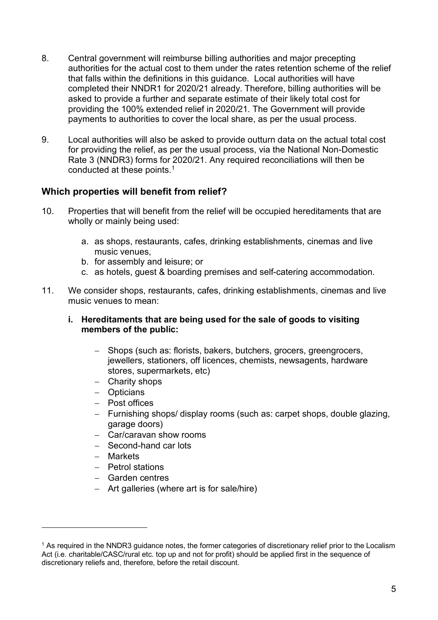- 8. Central government will reimburse billing authorities and major precepting authorities for the actual cost to them under the rates retention scheme of the relief that falls within the definitions in this guidance. Local authorities will have completed their NNDR1 for 2020/21 already. Therefore, billing authorities will be asked to provide a further and separate estimate of their likely total cost for providing the 100% extended relief in 2020/21. The Government will provide payments to authorities to cover the local share, as per the usual process.
- 9. Local authorities will also be asked to provide outturn data on the actual total cost for providing the relief, as per the usual process, via the National Non-Domestic Rate 3 (NNDR3) forms for 2020/21. Any required reconciliations will then be conducted at these points.1

# **Which properties will benefit from relief?**

- 10. Properties that will benefit from the relief will be occupied hereditaments that are wholly or mainly being used:
	- a. as shops, restaurants, cafes, drinking establishments, cinemas and live music venues,
	- b. for assembly and leisure; or
	- c. as hotels, guest & boarding premises and self-catering accommodation.
- 11. We consider shops, restaurants, cafes, drinking establishments, cinemas and live music venues to mean:
	- **i. Hereditaments that are being used for the sale of goods to visiting members of the public:**
		- − Shops (such as: florists, bakers, butchers, grocers, greengrocers, jewellers, stationers, off licences, chemists, newsagents, hardware stores, supermarkets, etc)
		- − Charity shops
		- − Opticians
		- − Post offices
		- − Furnishing shops/ display rooms (such as: carpet shops, double glazing, garage doors)
		- − Car/caravan show rooms
		- − Second-hand car lots
		- − Markets
		- − Petrol stations
		- − Garden centres
		- − Art galleries (where art is for sale/hire)

<sup>&</sup>lt;sup>1</sup> As required in the NNDR3 quidance notes, the former categories of discretionary relief prior to the Localism Act (i.e. charitable/CASC/rural etc. top up and not for profit) should be applied first in the sequence of discretionary reliefs and, therefore, before the retail discount.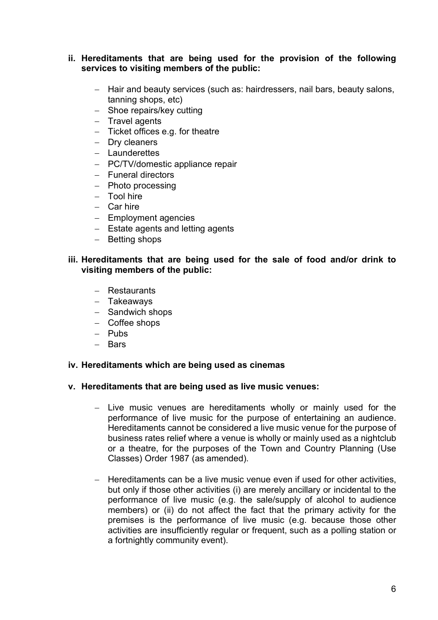## **ii. Hereditaments that are being used for the provision of the following services to visiting members of the public:**

- − Hair and beauty services (such as: hairdressers, nail bars, beauty salons, tanning shops, etc)
- − Shoe repairs/key cutting
- − Travel agents
- − Ticket offices e.g. for theatre
- − Dry cleaners
- − Launderettes
- − PC/TV/domestic appliance repair
- − Funeral directors
- − Photo processing
- − Tool hire
- − Car hire
- − Employment agencies
- − Estate agents and letting agents
- − Betting shops

## **iii. Hereditaments that are being used for the sale of food and/or drink to visiting members of the public:**

- − Restaurants
- − Takeaways
- − Sandwich shops
- − Coffee shops
- − Pubs
- − Bars

## **iv. Hereditaments which are being used as cinemas**

## **v. Hereditaments that are being used as live music venues:**

- − Live music venues are hereditaments wholly or mainly used for the performance of live music for the purpose of entertaining an audience. Hereditaments cannot be considered a live music venue for the purpose of business rates relief where a venue is wholly or mainly used as a nightclub or a theatre, for the purposes of the Town and Country Planning (Use Classes) Order 1987 (as amended).
- − Hereditaments can be a live music venue even if used for other activities, but only if those other activities (i) are merely ancillary or incidental to the performance of live music (e.g. the sale/supply of alcohol to audience members) or (ii) do not affect the fact that the primary activity for the premises is the performance of live music (e.g. because those other activities are insufficiently regular or frequent, such as a polling station or a fortnightly community event).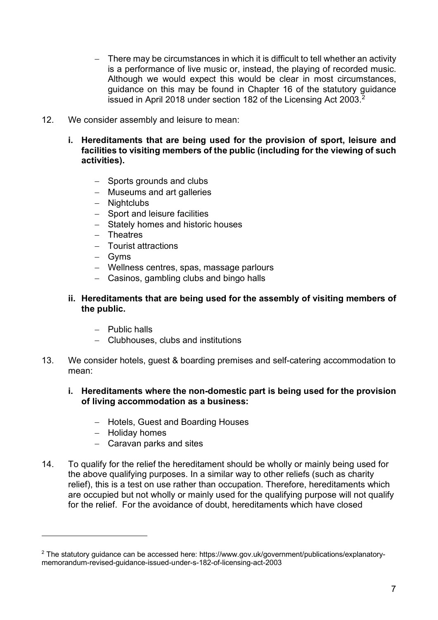- − There may be circumstances in which it is difficult to tell whether an activity is a performance of live music or, instead, the playing of recorded music. Although we would expect this would be clear in most circumstances, guidance on this may be found in Chapter 16 of the statutory guidance issued in April 2018 under section 182 of the Licensing Act 2003.<sup>2</sup>
- 12. We consider assembly and leisure to mean:
	- **i. Hereditaments that are being used for the provision of sport, leisure and facilities to visiting members of the public (including for the viewing of such activities).**
		- − Sports grounds and clubs
		- − Museums and art galleries
		- − Nightclubs
		- − Sport and leisure facilities
		- − Stately homes and historic houses
		- − Theatres
		- − Tourist attractions
		- − Gyms
		- − Wellness centres, spas, massage parlours
		- − Casinos, gambling clubs and bingo halls

# **ii. Hereditaments that are being used for the assembly of visiting members of the public.**

- − Public halls
- − Clubhouses, clubs and institutions
- 13. We consider hotels, guest & boarding premises and self-catering accommodation to mean:

## **i. Hereditaments where the non-domestic part is being used for the provision of living accommodation as a business:**

- − Hotels, Guest and Boarding Houses
- − Holiday homes
- − Caravan parks and sites
- 14. To qualify for the relief the hereditament should be wholly or mainly being used for the above qualifying purposes. In a similar way to other reliefs (such as charity relief), this is a test on use rather than occupation. Therefore, hereditaments which are occupied but not wholly or mainly used for the qualifying purpose will not qualify for the relief. For the avoidance of doubt, hereditaments which have closed

<sup>2</sup> The statutory guidance can be accessed here: https://www.gov.uk/government/publications/explanatorymemorandum-revised-guidance-issued-under-s-182-of-licensing-act-2003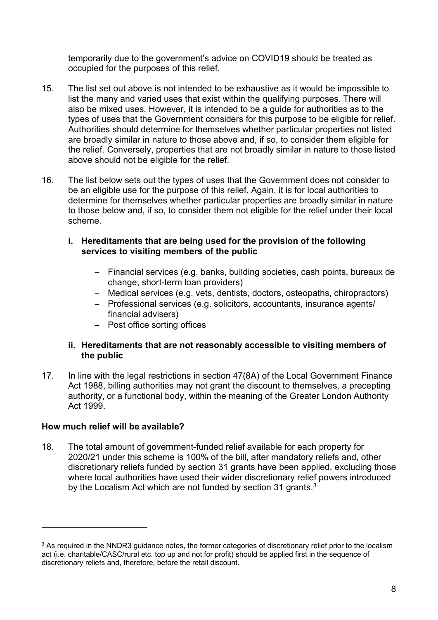temporarily due to the government's advice on COVID19 should be treated as occupied for the purposes of this relief.

- 15. The list set out above is not intended to be exhaustive as it would be impossible to list the many and varied uses that exist within the qualifying purposes. There will also be mixed uses. However, it is intended to be a guide for authorities as to the types of uses that the Government considers for this purpose to be eligible for relief. Authorities should determine for themselves whether particular properties not listed are broadly similar in nature to those above and, if so, to consider them eligible for the relief. Conversely, properties that are not broadly similar in nature to those listed above should not be eligible for the relief.
- 16. The list below sets out the types of uses that the Government does not consider to be an eligible use for the purpose of this relief. Again, it is for local authorities to determine for themselves whether particular properties are broadly similar in nature to those below and, if so, to consider them not eligible for the relief under their local scheme.
	- **i. Hereditaments that are being used for the provision of the following services to visiting members of the public**
		- − Financial services (e.g. banks, building societies, cash points, bureaux de change, short-term loan providers)
		- − Medical services (e.g. vets, dentists, doctors, osteopaths, chiropractors)
		- − Professional services (e.g. solicitors, accountants, insurance agents/ financial advisers)
		- − Post office sorting offices

# **ii. Hereditaments that are not reasonably accessible to visiting members of the public**

17. In line with the legal restrictions in section 47(8A) of the Local Government Finance Act 1988, billing authorities may not grant the discount to themselves, a precepting authority, or a functional body, within the meaning of the Greater London Authority Act 1999.

# **How much relief will be available?**

18. The total amount of government-funded relief available for each property for 2020/21 under this scheme is 100% of the bill, after mandatory reliefs and, other discretionary reliefs funded by section 31 grants have been applied, excluding those where local authorities have used their wider discretionary relief powers introduced by the Localism Act which are not funded by section 31 grants.<sup>3</sup>

<sup>&</sup>lt;sup>3</sup> As required in the NNDR3 guidance notes, the former categories of discretionary relief prior to the localism act (i.e. charitable/CASC/rural etc. top up and not for profit) should be applied first in the sequence of discretionary reliefs and, therefore, before the retail discount.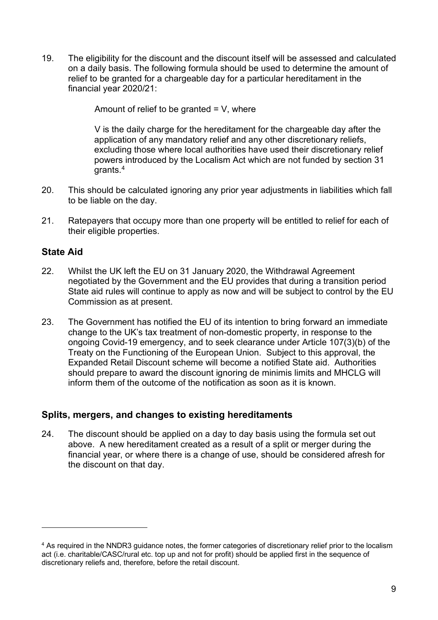19. The eligibility for the discount and the discount itself will be assessed and calculated on a daily basis. The following formula should be used to determine the amount of relief to be granted for a chargeable day for a particular hereditament in the financial year 2020/21:

Amount of relief to be granted  $= V$ , where

V is the daily charge for the hereditament for the chargeable day after the application of any mandatory relief and any other discretionary reliefs, excluding those where local authorities have used their discretionary relief powers introduced by the Localism Act which are not funded by section 31 grants. 4

- 20. This should be calculated ignoring any prior year adjustments in liabilities which fall to be liable on the day.
- 21. Ratepayers that occupy more than one property will be entitled to relief for each of their eligible properties.

# **State Aid**

- 22. Whilst the UK left the EU on 31 January 2020, the Withdrawal Agreement negotiated by the Government and the EU provides that during a transition period State aid rules will continue to apply as now and will be subject to control by the EU Commission as at present.
- 23. The Government has notified the EU of its intention to bring forward an immediate change to the UK's tax treatment of non-domestic property, in response to the ongoing Covid-19 emergency, and to seek clearance under Article 107(3)(b) of the Treaty on the Functioning of the European Union. Subject to this approval, the Expanded Retail Discount scheme will become a notified State aid. Authorities should prepare to award the discount ignoring de minimis limits and MHCLG will inform them of the outcome of the notification as soon as it is known.

# **Splits, mergers, and changes to existing hereditaments**

24. The discount should be applied on a day to day basis using the formula set out above. A new hereditament created as a result of a split or merger during the financial year, or where there is a change of use, should be considered afresh for the discount on that day.

<sup>&</sup>lt;sup>4</sup> As required in the NNDR3 quidance notes, the former categories of discretionary relief prior to the localism act (i.e. charitable/CASC/rural etc. top up and not for profit) should be applied first in the sequence of discretionary reliefs and, therefore, before the retail discount.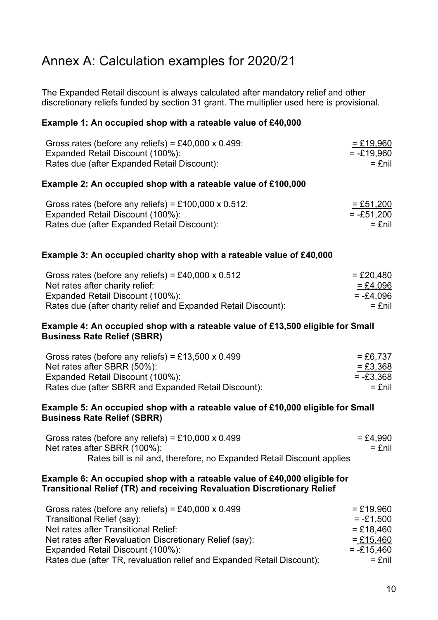# Annex A: Calculation examples for 2020/21

The Expanded Retail discount is always calculated after mandatory relief and other discretionary reliefs funded by section 31 grant. The multiplier used here is provisional.

# **Example 1: An occupied shop with a rateable value of £40,000**

| Gross rates (before any reliefs) = £40,000 x 0.499: | $= £19,960$  |
|-----------------------------------------------------|--------------|
| Expanded Retail Discount (100%):                    | $= -£19,960$ |
| Rates due (after Expanded Retail Discount):         | = £nil       |

## **Example 2: An occupied shop with a rateable value of £100,000**

| Gross rates (before any reliefs) = £100,000 x 0.512: | $=$ £51,200  |
|------------------------------------------------------|--------------|
| Expanded Retail Discount (100%):                     | $= -£51,200$ |
| Rates due (after Expanded Retail Discount):          | $=$ £nil     |

## **Example 3: An occupied charity shop with a rateable value of £40,000**

| Gross rates (before any reliefs) = £40,000 x $0.512$           | $=$ £20,480 |
|----------------------------------------------------------------|-------------|
| Net rates after charity relief:                                | $=$ £4,096  |
| Expanded Retail Discount (100%):                               | $= -£4.096$ |
| Rates due (after charity relief and Expanded Retail Discount): | = £nil      |

## **Example 4: An occupied shop with a rateable value of £13,500 eligible for Small Business Rate Relief (SBRR)**

| Gross rates (before any reliefs) = £13,500 x 0.499   | $= £6.737$  |
|------------------------------------------------------|-------------|
| Net rates after SBRR (50%):                          | $= £3,368$  |
| Expanded Retail Discount (100%):                     | $= -23.368$ |
| Rates due (after SBRR and Expanded Retail Discount): | = £nil      |

#### **Example 5: An occupied shop with a rateable value of £10,000 eligible for Small Business Rate Relief (SBRR)**

| Gross rates (before any reliefs) = £10,000 x 0.499                    | = £4,990 |
|-----------------------------------------------------------------------|----------|
| Net rates after SBRR (100%):                                          | = £nil   |
| Rates bill is nil and, therefore, no Expanded Retail Discount applies |          |

#### **Example 6: An occupied shop with a rateable value of £40,000 eligible for Transitional Relief (TR) and receiving Revaluation Discretionary Relief**

| Gross rates (before any reliefs) = £40,000 x 0.499                     | $=$ £19.960  |
|------------------------------------------------------------------------|--------------|
| Transitional Relief (say):                                             | $= -£1.500$  |
| Net rates after Transitional Relief:                                   | $= £18,460$  |
| Net rates after Revaluation Discretionary Relief (say):                | $=$ £15,460  |
| Expanded Retail Discount (100%):                                       | $= -215.460$ |
| Rates due (after TR, revaluation relief and Expanded Retail Discount): | $=$ £nil     |